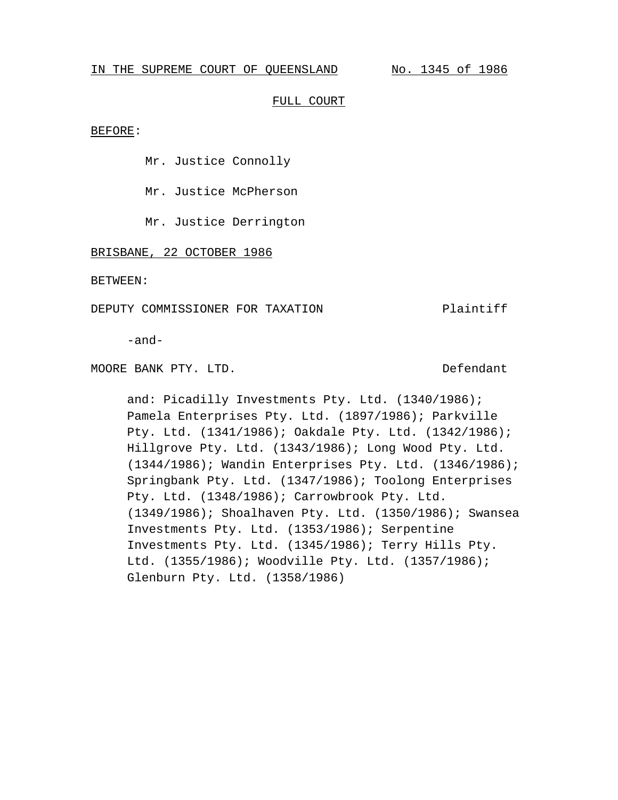### IN THE SUPREME COURT OF QUEENSLAND No. 1345 of 1986

### FULL COURT

BEFORE:

Mr. Justice Connolly

Mr. Justice McPherson

Mr. Justice Derrington

BRISBANE, 22 OCTOBER 1986

BETWEEN:

DEPUTY COMMISSIONER FOR TAXATION Plaintiff

-and-

MOORE BANK PTY. LTD. DEFendant

and: Picadilly Investments Pty. Ltd. (1340/1986); Pamela Enterprises Pty. Ltd. (1897/1986); Parkville Pty. Ltd. (1341/1986); Oakdale Pty. Ltd. (1342/1986); Hillgrove Pty. Ltd. (1343/1986); Long Wood Pty. Ltd. (1344/1986); Wandin Enterprises Pty. Ltd. (1346/1986); Springbank Pty. Ltd. (1347/1986); Toolong Enterprises Pty. Ltd. (1348/1986); Carrowbrook Pty. Ltd. (1349/1986); Shoalhaven Pty. Ltd. (1350/1986); Swansea Investments Pty. Ltd. (1353/1986); Serpentine Investments Pty. Ltd. (1345/1986); Terry Hills Pty. Ltd. (1355/1986); Woodville Pty. Ltd. (1357/1986); Glenburn Pty. Ltd. (1358/1986)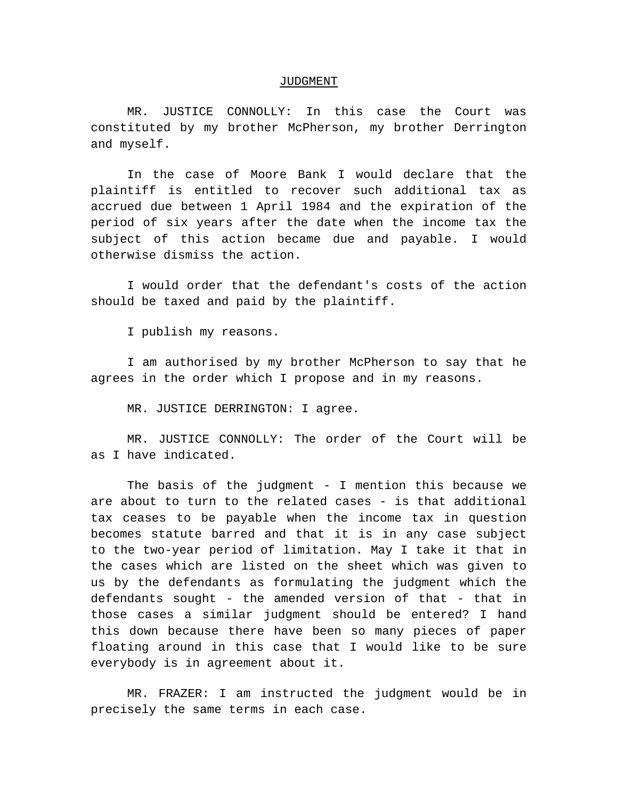#### JUDGMENT

MR. JUSTICE CONNOLLY: In this case the Court was constituted by my brother McPherson, my brother Derrington and myself.

In the case of Moore Bank I would declare that the plaintiff is entitled to recover such additional tax as accrued due between 1 April 1984 and the expiration of the period of six years after the date when the income tax the subject of this action became due and payable. I would otherwise dismiss the action.

I would order that the defendant's costs of the action should be taxed and paid by the plaintiff.

I publish my reasons.

I am authorised by my brother McPherson to say that he agrees in the order which I propose and in my reasons.

MR. JUSTICE DERRINGTON: I agree.

MR. JUSTICE CONNOLLY: The order of the Court will be as I have indicated.

The basis of the judgment - I mention this because we are about to turn to the related cases - is that additional tax ceases to be payable when the income tax in question becomes statute barred and that it is in any case subject to the two-year period of limitation. May I take it that in the cases which are listed on the sheet which was given to us by the defendants as formulating the judgment which the defendants sought - the amended version of that - that in those cases a similar judgment should be entered? I hand this down because there have been so many pieces of paper floating around in this case that I would like to be sure everybody is in agreement about it.

MR. FRAZER: I am instructed the judgment would be in precisely the same terms in each case.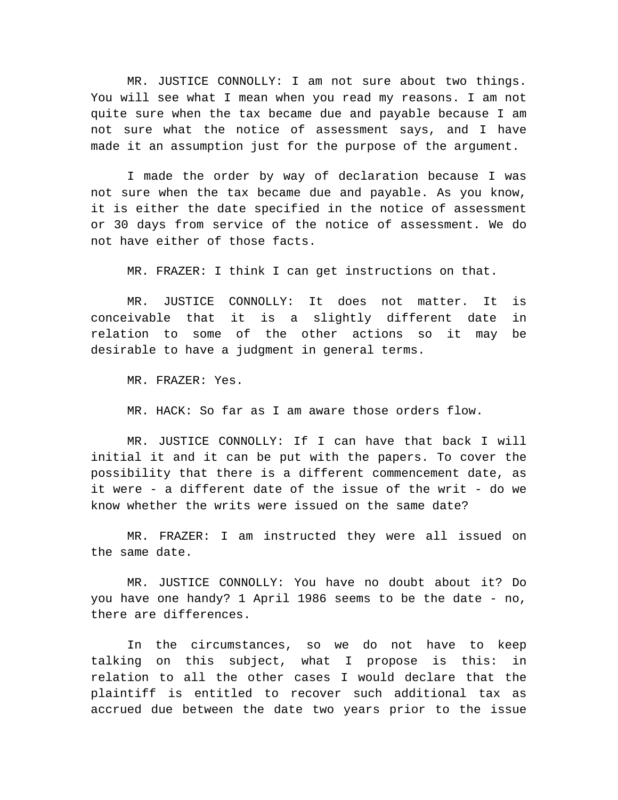MR. JUSTICE CONNOLLY: I am not sure about two things. You will see what I mean when you read my reasons. I am not quite sure when the tax became due and payable because I am not sure what the notice of assessment says, and I have made it an assumption just for the purpose of the argument.

I made the order by way of declaration because I was not sure when the tax became due and payable. As you know, it is either the date specified in the notice of assessment or 30 days from service of the notice of assessment. We do not have either of those facts.

MR. FRAZER: I think I can get instructions on that.

MR. JUSTICE CONNOLLY: It does not matter. It is conceivable that it is a slightly different date in relation to some of the other actions so it may be desirable to have a judgment in general terms.

MR. FRAZER: Yes.

MR. HACK: So far as I am aware those orders flow.

MR. JUSTICE CONNOLLY: If I can have that back I will initial it and it can be put with the papers. To cover the possibility that there is a different commencement date, as it were - a different date of the issue of the writ - do we know whether the writs were issued on the same date?

MR. FRAZER: I am instructed they were all issued on the same date.

MR. JUSTICE CONNOLLY: You have no doubt about it? Do you have one handy? 1 April 1986 seems to be the date - no, there are differences.

In the circumstances, so we do not have to keep talking on this subject, what I propose is this: in relation to all the other cases I would declare that the plaintiff is entitled to recover such additional tax as accrued due between the date two years prior to the issue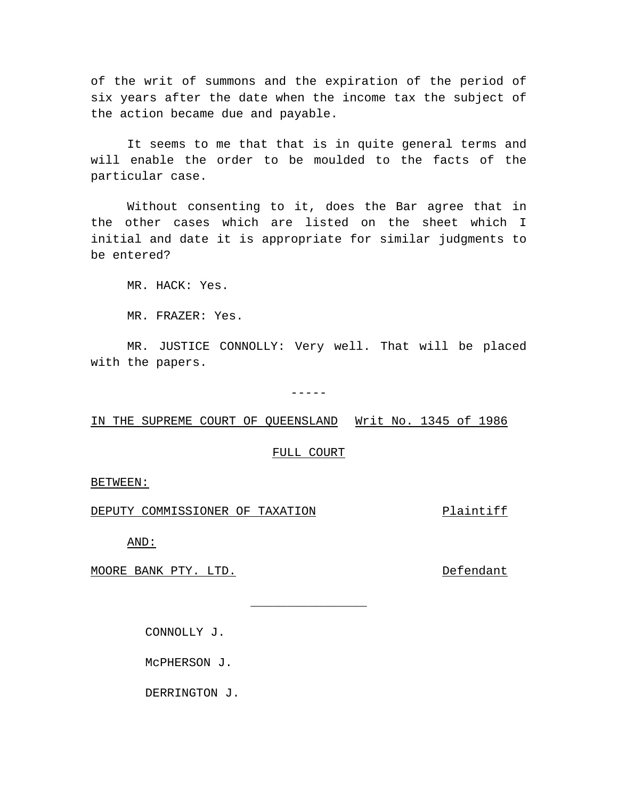of the writ of summons and the expiration of the period of six years after the date when the income tax the subject of the action became due and payable.

It seems to me that that is in quite general terms and will enable the order to be moulded to the facts of the particular case.

Without consenting to it, does the Bar agree that in the other cases which are listed on the sheet which I initial and date it is appropriate for similar judgments to be entered?

MR. HACK: Yes.

MR. FRAZER: Yes.

MR. JUSTICE CONNOLLY: Very well. That will be placed with the papers.

-----

IN THE SUPREME COURT OF QUEENSLAND Writ No. 1345 of 1986

### FULL COURT

\_\_\_\_\_\_\_\_\_\_\_\_\_\_\_\_

# BETWEEN:

DEPUTY COMMISSIONER OF TAXATION FRAGIST Plaintiff

AND:

MOORE BANK PTY. LTD. THE SECOND SECOND DEFENDANT

CONNOLLY J.

McPHERSON J.

DERRINGTON J.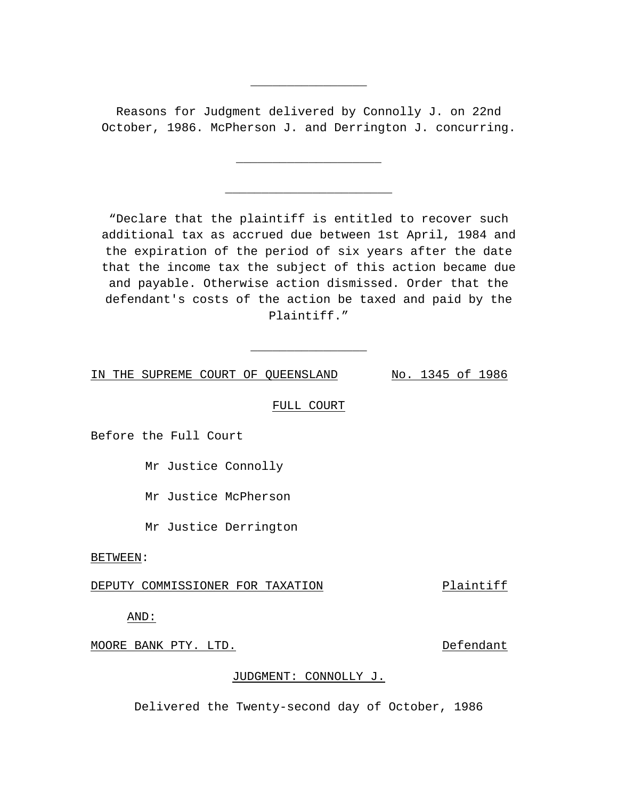Reasons for Judgment delivered by Connolly J. on 22nd October, 1986. McPherson J. and Derrington J. concurring.

\_\_\_\_\_\_\_\_\_\_\_\_\_\_\_\_\_\_\_\_

\_\_\_\_\_\_\_\_\_\_\_\_\_\_\_\_\_\_\_\_\_\_\_

\_\_\_\_\_\_\_\_\_\_\_\_\_\_\_\_

"Declare that the plaintiff is entitled to recover such additional tax as accrued due between 1st April, 1984 and the expiration of the period of six years after the date that the income tax the subject of this action became due and payable. Otherwise action dismissed. Order that the defendant's costs of the action be taxed and paid by the Plaintiff."

IN THE SUPREME COURT OF QUEENSLAND No. 1345 of 1986

FULL COURT

\_\_\_\_\_\_\_\_\_\_\_\_\_\_\_\_

Before the Full Court

Mr Justice Connolly

Mr Justice McPherson

Mr Justice Derrington

BETWEEN:

DEPUTY COMMISSIONER FOR TAXATION Plaintiff

AND:

MOORE BANK PTY. LTD. Defendant

# JUDGMENT: CONNOLLY J.

Delivered the Twenty-second day of October, 1986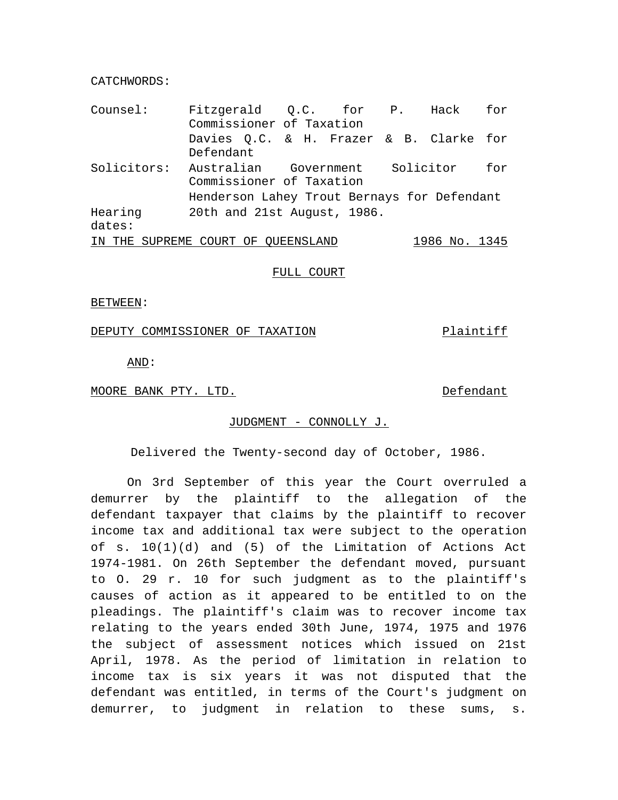CATCHWORDS:

| Counsel:    | Fitzgerald Q.C. for P. Hack for<br>Commissioner of Taxation |  |  |                                     |               |  |
|-------------|-------------------------------------------------------------|--|--|-------------------------------------|---------------|--|
|             |                                                             |  |  |                                     |               |  |
|             | Davies Q.C. & H. Frazer & B. Clarke for                     |  |  |                                     |               |  |
|             | Defendant                                                   |  |  |                                     |               |  |
| Solicitors: |                                                             |  |  | Australian Government Solicitor for |               |  |
|             | Commissioner of Taxation                                    |  |  |                                     |               |  |
|             | Henderson Lahey Trout Bernays for Defendant                 |  |  |                                     |               |  |
| Hearing     | 20th and 21st August, 1986.                                 |  |  |                                     |               |  |
| dates:      |                                                             |  |  |                                     |               |  |
|             | IN THE SUPREME COURT OF QUEENSLAND                          |  |  |                                     | 1986 No. 1345 |  |

### FULL COURT

BETWEEN:

DEPUTY COMMISSIONER OF TAXATION Plaintiff

AND:

MOORE BANK PTY. LTD. DEFendant

# JUDGMENT - CONNOLLY J.

Delivered the Twenty-second day of October, 1986.

On 3rd September of this year the Court overruled a demurrer by the plaintiff to the allegation of the defendant taxpayer that claims by the plaintiff to recover income tax and additional tax were subject to the operation of s. 10(1)(d) and (5) of the Limitation of Actions Act 1974-1981. On 26th September the defendant moved, pursuant to O. 29 r. 10 for such judgment as to the plaintiff's causes of action as it appeared to be entitled to on the pleadings. The plaintiff's claim was to recover income tax relating to the years ended 30th June, 1974, 1975 and 1976 the subject of assessment notices which issued on 21st April, 1978. As the period of limitation in relation to income tax is six years it was not disputed that the defendant was entitled, in terms of the Court's judgment on demurrer, to judgment in relation to these sums, s.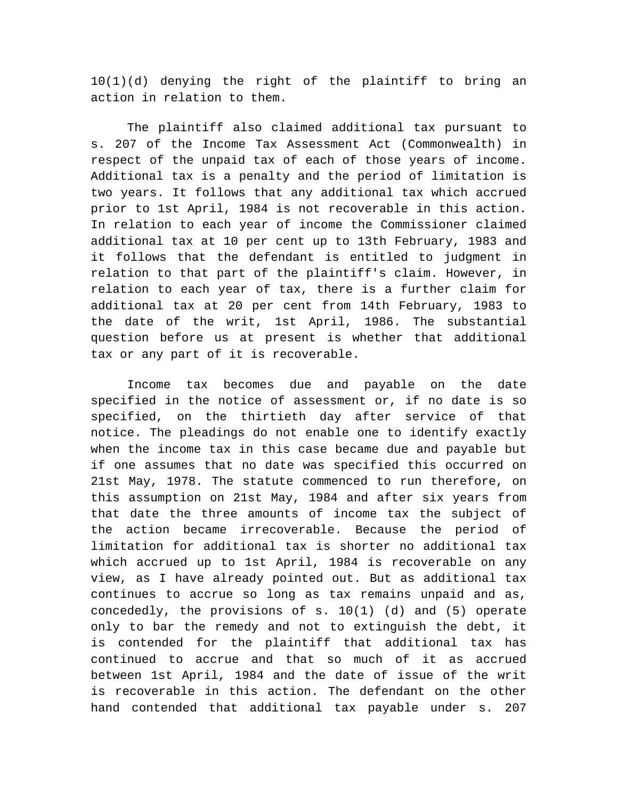10(1)(d) denying the right of the plaintiff to bring an action in relation to them.

The plaintiff also claimed additional tax pursuant to s. 207 of the Income Tax Assessment Act (Commonwealth) in respect of the unpaid tax of each of those years of income. Additional tax is a penalty and the period of limitation is two years. It follows that any additional tax which accrued prior to 1st April, 1984 is not recoverable in this action. In relation to each year of income the Commissioner claimed additional tax at 10 per cent up to 13th February, 1983 and it follows that the defendant is entitled to judgment in relation to that part of the plaintiff's claim. However, in relation to each year of tax, there is a further claim for additional tax at 20 per cent from 14th February, 1983 to the date of the writ, 1st April, 1986. The substantial question before us at present is whether that additional tax or any part of it is recoverable.

Income tax becomes due and payable on the date specified in the notice of assessment or, if no date is so specified, on the thirtieth day after service of that notice. The pleadings do not enable one to identify exactly when the income tax in this case became due and payable but if one assumes that no date was specified this occurred on 21st May, 1978. The statute commenced to run therefore, on this assumption on 21st May, 1984 and after six years from that date the three amounts of income tax the subject of the action became irrecoverable. Because the period of limitation for additional tax is shorter no additional tax which accrued up to 1st April, 1984 is recoverable on any view, as I have already pointed out. But as additional tax continues to accrue so long as tax remains unpaid and as, concededly, the provisions of s. 10(1) (d) and (5) operate only to bar the remedy and not to extinguish the debt, it is contended for the plaintiff that additional tax has continued to accrue and that so much of it as accrued between 1st April, 1984 and the date of issue of the writ is recoverable in this action. The defendant on the other hand contended that additional tax payable under s. 207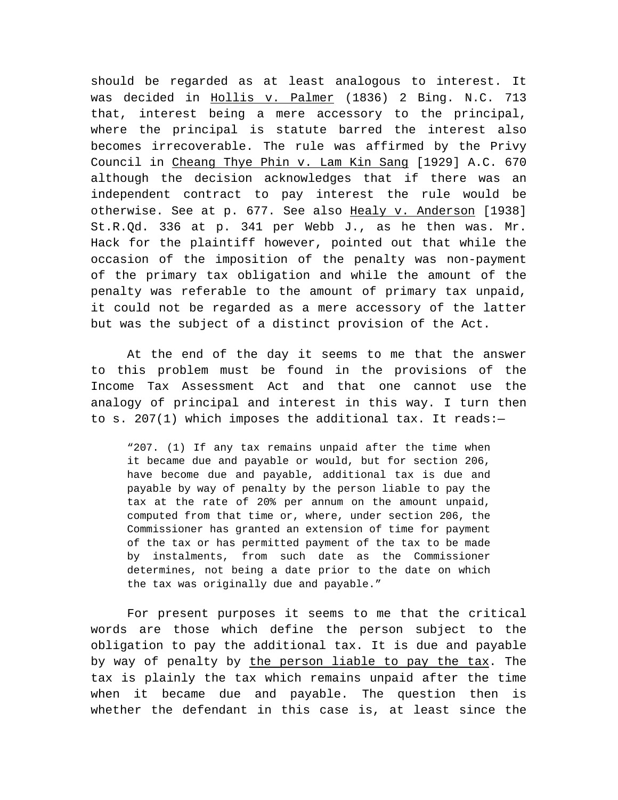should be regarded as at least analogous to interest. It was decided in Hollis v. Palmer (1836) 2 Bing. N.C. 713 that, interest being a mere accessory to the principal, where the principal is statute barred the interest also becomes irrecoverable. The rule was affirmed by the Privy Council in Cheang Thye Phin v. Lam Kin Sang [1929] A.C. 670 although the decision acknowledges that if there was an independent contract to pay interest the rule would be otherwise. See at p. 677. See also Healy v. Anderson [1938] St.R.Qd. 336 at p. 341 per Webb J., as he then was. Mr. Hack for the plaintiff however, pointed out that while the occasion of the imposition of the penalty was non-payment of the primary tax obligation and while the amount of the penalty was referable to the amount of primary tax unpaid, it could not be regarded as a mere accessory of the latter but was the subject of a distinct provision of the Act.

At the end of the day it seems to me that the answer to this problem must be found in the provisions of the Income Tax Assessment Act and that one cannot use the analogy of principal and interest in this way. I turn then to s. 207(1) which imposes the additional tax. It reads:—

"207. (1) If any tax remains unpaid after the time when it became due and payable or would, but for section 206, have become due and payable, additional tax is due and payable by way of penalty by the person liable to pay the tax at the rate of 20% per annum on the amount unpaid, computed from that time or, where, under section 206, the Commissioner has granted an extension of time for payment of the tax or has permitted payment of the tax to be made by instalments, from such date as the Commissioner determines, not being a date prior to the date on which the tax was originally due and payable."

For present purposes it seems to me that the critical words are those which define the person subject to the obligation to pay the additional tax. It is due and payable by way of penalty by the person liable to pay the tax. The tax is plainly the tax which remains unpaid after the time when it became due and payable. The question then is whether the defendant in this case is, at least since the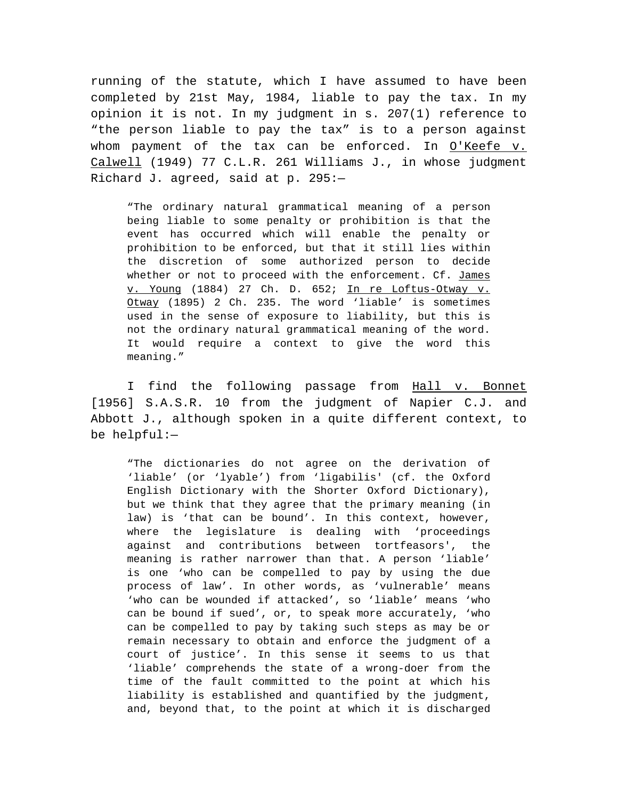running of the statute, which I have assumed to have been completed by 21st May, 1984, liable to pay the tax. In my opinion it is not. In my judgment in s. 207(1) reference to "the person liable to pay the tax" is to a person against whom payment of the tax can be enforced. In O'Keefe v. Calwell (1949) 77 C.L.R. 261 Williams J., in whose judgment Richard J. agreed, said at p. 295:—

"The ordinary natural grammatical meaning of a person being liable to some penalty or prohibition is that the event has occurred which will enable the penalty or prohibition to be enforced, but that it still lies within the discretion of some authorized person to decide whether or not to proceed with the enforcement. Cf. James v. Young (1884) 27 Ch. D. 652; In re Loftus-Otway v. Otway (1895) 2 Ch. 235. The word 'liable' is sometimes used in the sense of exposure to liability, but this is not the ordinary natural grammatical meaning of the word. It would require a context to give the word this meaning."

I find the following passage from Hall v. Bonnet [1956] S.A.S.R. 10 from the judgment of Napier C.J. and Abbott J., although spoken in a quite different context, to be helpful:—

"The dictionaries do not agree on the derivation of 'liable' (or 'lyable') from 'ligabilis' (cf. the Oxford English Dictionary with the Shorter Oxford Dictionary), but we think that they agree that the primary meaning (in law) is 'that can be bound'. In this context, however, where the legislature is dealing with 'proceedings against and contributions between tortfeasors', the meaning is rather narrower than that. A person 'liable' is one 'who can be compelled to pay by using the due process of law'. In other words, as 'vulnerable' means 'who can be wounded if attacked', so 'liable' means 'who can be bound if sued', or, to speak more accurately, 'who can be compelled to pay by taking such steps as may be or remain necessary to obtain and enforce the judgment of a court of justice'. In this sense it seems to us that 'liable' comprehends the state of a wrong-doer from the time of the fault committed to the point at which his liability is established and quantified by the judgment, and, beyond that, to the point at which it is discharged